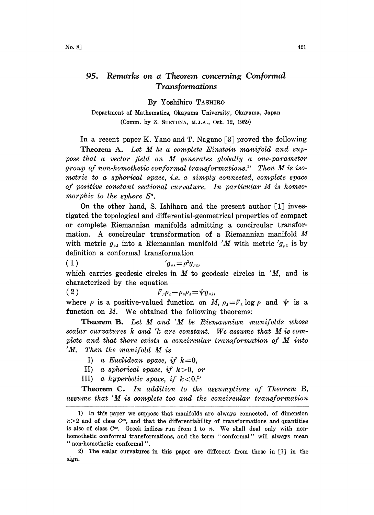## 95. Remarks on a Theorem concerning Conformal Transformations

By Yoshihiro TASHIRO

Department of Mathematics, Okayama University, 0kayama, Japan (Comm. by Z. SUETUNA, M.J.A., Oct. 12, 1959)

In a recent paper K. Yano and T. Nagano  $\lceil 3 \rceil$  proved the following Theorem A. Let M be <sup>a</sup> complete Einstein manifold and suppose that <sup>a</sup> vector field on M generates globally <sup>a</sup> one-parameter group of non-homothetic conformal transformations.<sup>11</sup> Then M is isometric to a spherical space, i.e. a simply connected, complete space of positive constant sectional curvature. In particular M is homeo morphic to the sphere  $S<sup>n</sup>$ .

On the other hand, S. Ishihara and the present author  $[1]$  investigated the topological and differential-geometrical properties of compact or complete Riemannian manifolds admitting a concircular transformation. A concircular transformation of <sup>a</sup> Riemannian manifold M with metric  $g_{\mu\lambda}$  into a Riemannian manifold 'M with metric ' $g_{\mu\lambda}$  is by definition a conformal transformation

$$
(1) \t\t\t\t'g_{\mu\lambda} = \rho^2 g_{\mu\lambda},
$$

which carries geodesic circles in  $M$  to geodesic circles in  $'M$ , and is characterized by the equation

 $\nabla_{\mu}\rho_{\lambda} - \rho_{\mu}\rho_{\lambda} = \psi g_{\mu\lambda}$  $(2)$ 

where  $\rho$  is a positive-valued function on M,  $\rho_i = V$ ,  $\log \rho$  and  $\psi$  is a function on  $M$ . We obtained the following theorems:

Theorem B. Let M and 'M be Riemannian manifolds whose scalar curvatures <sup>k</sup> and 'k are constant. We assume that M is complete and that there exists <sup>a</sup> concircular transformation of M into 'M. Then the manifold M is

- I) a Euclidean space, if  $k=0$ .
- II) a spherical space, if  $k>0$ , or
- III) a hyperbolic space, if  $k < 0$ .

Theorem C. In addition to the assumptions of Theorem B, assume that 'M is complete too and the concircular transformation

<sup>1)</sup> In this paper we suppose that manifolds are always connected, of dimension  $n>2$  and of class  $C^{\infty}$ , and that the differentiability of transformations and quantities is also of class  $C^{\infty}$ . Greek indices run from 1 to n. We shall deal only with nonhomothetic conformal transformations, and the term "conformal" will always mean " non-homothetic conformal".

<sup>2)</sup> The scalar curvatures in this paper are different from those in [7] in the sign.